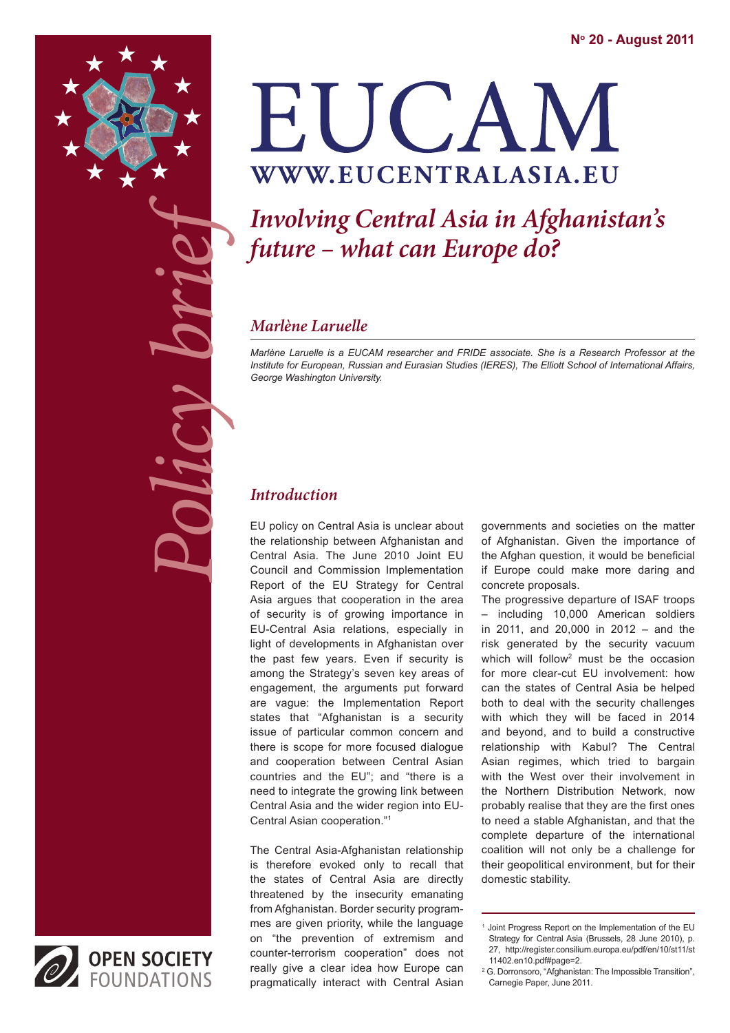



# EUCAM WWW.EUCENTRALASIA.EU

*Involving Central Asia in Afghanistan's future – what can Europe do?* 

# *Marlène Laruelle*

*Marlène Laruelle is a EUCAM researcher and FRIDE associate. She is a Research Professor at the Institute for European, Russian and Eurasian Studies (IERES), The Elliott School of International Affairs, George Washington University.*

# *Introduction*

EU policy on Central Asia is unclear about the relationship between Afghanistan and Central Asia. The June 2010 Joint EU Council and Commission Implementation Report of the EU Strategy for Central Asia argues that cooperation in the area of security is of growing importance in EU-Central Asia relations, especially in light of developments in Afghanistan over the past few years. Even if security is among the Strategy's seven key areas of engagement, the arguments put forward are vague: the Implementation Report states that "Afghanistan is a security issue of particular common concern and there is scope for more focused dialogue and cooperation between Central Asian countries and the EU"; and "there is a need to integrate the growing link between Central Asia and the wider region into EU-Central Asian cooperation."1

The Central Asia-Afghanistan relationship is therefore evoked only to recall that the states of Central Asia are directly threatened by the insecurity emanating from Afghanistan. Border security programmes are given priority, while the language on "the prevention of extremism and counter-terrorism cooperation" does not really give a clear idea how Europe can pragmatically interact with Central Asian

governments and societies on the matter of Afghanistan. Given the importance of the Afghan question, it would be beneficial if Europe could make more daring and concrete proposals.

The progressive departure of ISAF troops – including 10,000 American soldiers in 2011, and 20,000 in 2012 – and the risk generated by the security vacuum which will follow 2 must be the occasion for more clear-cut EU involvement: how can the states of Central Asia be helped both to deal with the security challenges with which they will be faced in 2014 and beyond, and to build a constructive relationship with Kabul? The Central Asian regimes, which tried to bargain with the West over their involvement in the Northern Distribution Network, now probably realise that they are the first ones to need a stable Afghanistan, and that the complete departure of the international coalition will not only be a challenge for their geopolitical environment, but for their domestic stability.

<sup>1</sup> Joint Progress Report on the Implementation of the EU Strategy for Central Asia (Brussels, 28 June 2010), p. 27, http://register.consilium.europa.eu/pdf/en/10/st11/st 11402.en10.pdf#page=2.

<sup>&</sup>lt;sup>2</sup> G. Dorronsoro, "Afghanistan: The Impossible Transition", Carnegie Paper, June 2011.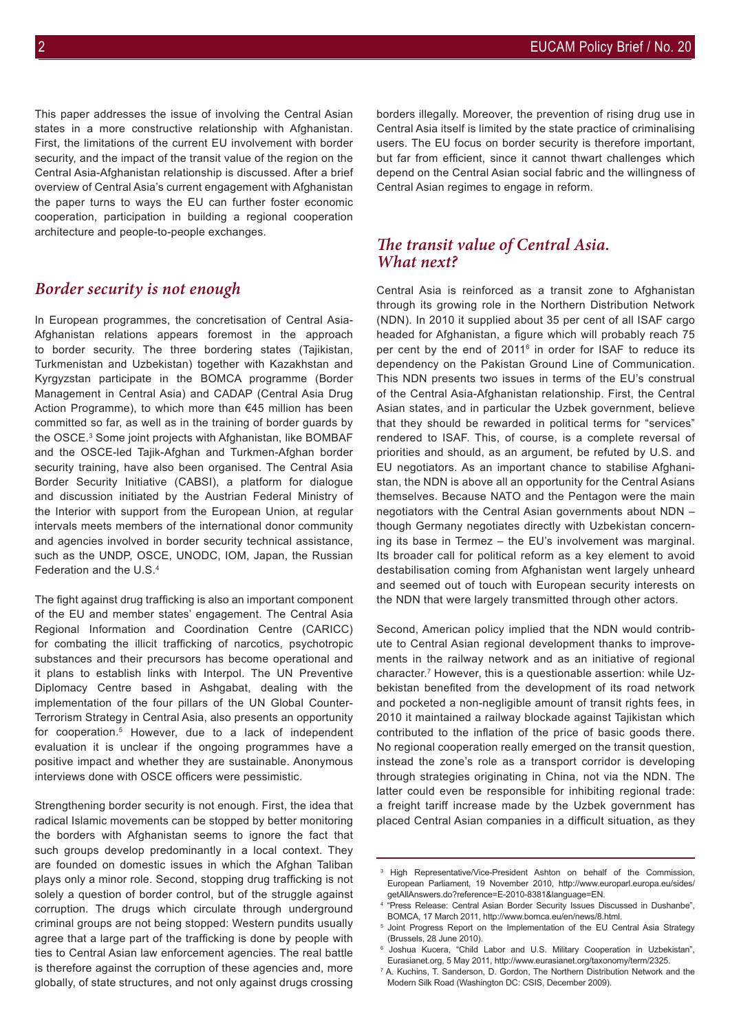This paper addresses the issue of involving the Central Asian states in a more constructive relationship with Afghanistan. First, the limitations of the current EU involvement with border security, and the impact of the transit value of the region on the Central Asia-Afghanistan relationship is discussed. After a brief overview of Central Asia's current engagement with Afghanistan the paper turns to ways the EU can further foster economic cooperation, participation in building a regional cooperation architecture and people-to-people exchanges.

## *Border security is not enough*

In European programmes, the concretisation of Central Asia-Afghanistan relations appears foremost in the approach to border security. The three bordering states (Tajikistan, Turkmenistan and Uzbekistan) together with Kazakhstan and Kyrgyzstan participate in the BOMCA programme (Border Management in Central Asia) and CADAP (Central Asia Drug Action Programme), to which more than €45 million has been committed so far, as well as in the training of border guards by the OSCE.3 Some joint projects with Afghanistan, like BOMBAF and the OSCE-led Tajik-Afghan and Turkmen-Afghan border security training, have also been organised. The Central Asia Border Security Initiative (CABSI), a platform for dialogue and discussion initiated by the Austrian Federal Ministry of the Interior with support from the European Union, at regular intervals meets members of the international donor community and agencies involved in border security technical assistance, such as the UNDP, OSCE, UNODC, IOM, Japan, the Russian Federation and the U.S.4

The fight against drug trafficking is also an important component of the EU and member states' engagement. The Central Asia Regional Information and Coordination Centre (CARICC) for combating the illicit trafficking of narcotics, psychotropic substances and their precursors has become operational and it plans to establish links with Interpol. The UN Preventive Diplomacy Centre based in Ashgabat, dealing with the implementation of the four pillars of the UN Global Counter-Terrorism Strategy in Central Asia, also presents an opportunity for cooperation.5 However, due to a lack of independent evaluation it is unclear if the ongoing programmes have a positive impact and whether they are sustainable. Anonymous interviews done with OSCE officers were pessimistic.

Strengthening border security is not enough. First, the idea that radical Islamic movements can be stopped by better monitoring the borders with Afghanistan seems to ignore the fact that such groups develop predominantly in a local context. They are founded on domestic issues in which the Afghan Taliban plays only a minor role. Second, stopping drug trafficking is not solely a question of border control, but of the struggle against corruption. The drugs which circulate through underground criminal groups are not being stopped: Western pundits usually agree that a large part of the trafficking is done by people with ties to Central Asian law enforcement agencies. The real battle is therefore against the corruption of these agencies and, more globally, of state structures, and not only against drugs crossing borders illegally. Moreover, the prevention of rising drug use in Central Asia itself is limited by the state practice of criminalising users. The EU focus on border security is therefore important, but far from efficient, since it cannot thwart challenges which depend on the Central Asian social fabric and the willingness of Central Asian regimes to engage in reform.

## *The transit value of Central Asia. What next?*

Central Asia is reinforced as a transit zone to Afghanistan through its growing role in the Northern Distribution Network (NDN). In 2010 it supplied about 35 per cent of all ISAF cargo headed for Afghanistan, a figure which will probably reach 75 per cent by the end of 2011<sup>6</sup> in order for ISAF to reduce its dependency on the Pakistan Ground Line of Communication. This NDN presents two issues in terms of the EU's construal of the Central Asia-Afghanistan relationship. First, the Central Asian states, and in particular the Uzbek government, believe that they should be rewarded in political terms for "services" rendered to ISAF. This, of course, is a complete reversal of priorities and should, as an argument, be refuted by U.S. and EU negotiators. As an important chance to stabilise Afghanistan, the NDN is above all an opportunity for the Central Asians themselves. Because NATO and the Pentagon were the main negotiators with the Central Asian governments about NDN – though Germany negotiates directly with Uzbekistan concerning its base in Termez – the EU's involvement was marginal. Its broader call for political reform as a key element to avoid destabilisation coming from Afghanistan went largely unheard and seemed out of touch with European security interests on the NDN that were largely transmitted through other actors.

Second, American policy implied that the NDN would contribute to Central Asian regional development thanks to improvements in the railway network and as an initiative of regional character.7 However, this is a questionable assertion: while Uzbekistan benefited from the development of its road network and pocketed a non-negligible amount of transit rights fees, in 2010 it maintained a railway blockade against Tajikistan which contributed to the inflation of the price of basic goods there. No regional cooperation really emerged on the transit question, instead the zone's role as a transport corridor is developing through strategies originating in China, not via the NDN. The latter could even be responsible for inhibiting regional trade: a freight tariff increase made by the Uzbek government has placed Central Asian companies in a difficult situation, as they

<sup>3</sup> High Representative/Vice-President Ashton on behalf of the Commission, European Parliament, 19 November 2010, http://www.europarl.europa.eu/sides/ getAllAnswers.do?reference=E-2010-8381&language=EN.

<sup>4</sup> "Press Release: Central Asian Border Security Issues Discussed in Dushanbe", BOMCA, 17 March 2011, http://www.bomca.eu/en/news/8.html.

<sup>5</sup> Joint Progress Report on the Implementation of the EU Central Asia Strategy (Brussels, 28 June 2010).

<sup>6</sup> Joshua Kucera, "Child Labor and U.S. Military Cooperation in Uzbekistan", Eurasianet.org, 5 May 2011, http://www.eurasianet.org/taxonomy/term/2325.

<sup>7</sup> A. Kuchins, T. Sanderson, D. Gordon, The Northern Distribution Network and the Modern Silk Road (Washington DC: CSIS, December 2009).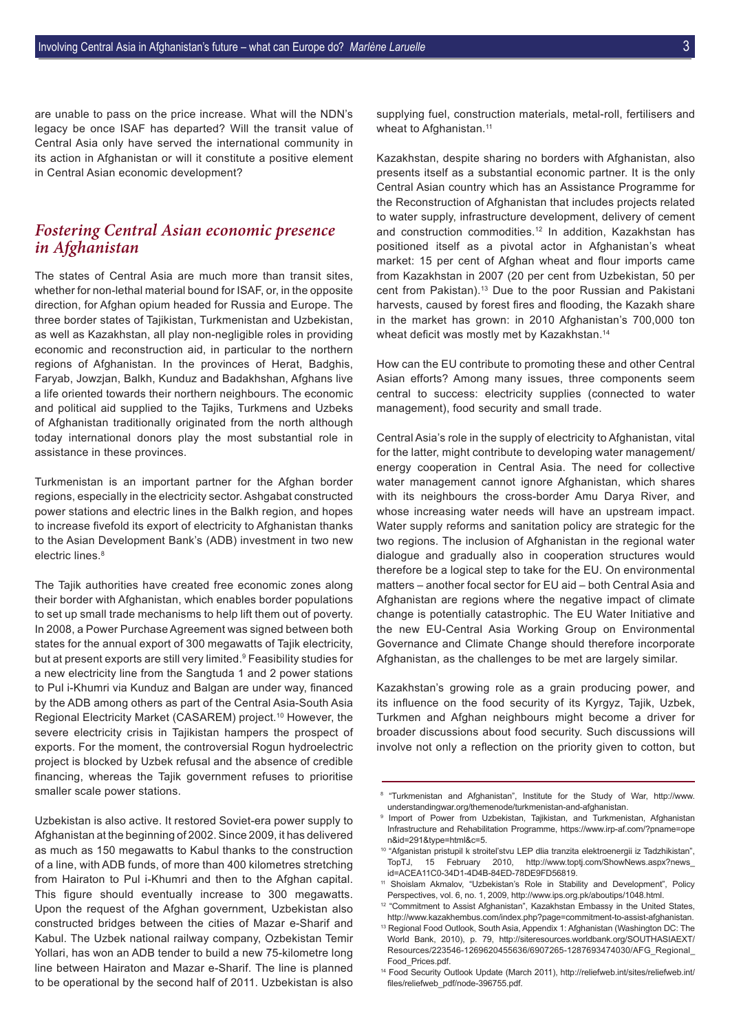are unable to pass on the price increase. What will the NDN's legacy be once ISAF has departed? Will the transit value of Central Asia only have served the international community in its action in Afghanistan or will it constitute a positive element in Central Asian economic development?

#### *Fostering Central Asian economic presence in Afghanistan*

The states of Central Asia are much more than transit sites, whether for non-lethal material bound for ISAF, or, in the opposite direction, for Afghan opium headed for Russia and Europe. The three border states of Tajikistan, Turkmenistan and Uzbekistan, as well as Kazakhstan, all play non-negligible roles in providing economic and reconstruction aid, in particular to the northern regions of Afghanistan. In the provinces of Herat, Badghis, Faryab, Jowzjan, Balkh, Kunduz and Badakhshan, Afghans live a life oriented towards their northern neighbours. The economic and political aid supplied to the Tajiks, Turkmens and Uzbeks of Afghanistan traditionally originated from the north although today international donors play the most substantial role in assistance in these provinces.

Turkmenistan is an important partner for the Afghan border regions, especially in the electricity sector. Ashgabat constructed power stations and electric lines in the Balkh region, and hopes to increase fivefold its export of electricity to Afghanistan thanks to the Asian Development Bank's (ADB) investment in two new electric lines.<sup>8</sup>

The Tajik authorities have created free economic zones along their border with Afghanistan, which enables border populations to set up small trade mechanisms to help lift them out of poverty. In 2008, a Power Purchase Agreement was signed between both states for the annual export of 300 megawatts of Tajik electricity, but at present exports are still very limited.<sup>9</sup> Feasibility studies for a new electricity line from the Sangtuda 1 and 2 power stations to Pul i-Khumri via Kunduz and Balgan are under way, financed by the ADB among others as part of the Central Asia-South Asia Regional Electricity Market (CASAREM) project.<sup>10</sup> However, the severe electricity crisis in Tajikistan hampers the prospect of exports. For the moment, the controversial Rogun hydroelectric project is blocked by Uzbek refusal and the absence of credible financing, whereas the Tajik government refuses to prioritise smaller scale power stations.

Uzbekistan is also active. It restored Soviet-era power supply to Afghanistan at the beginning of 2002. Since 2009, it has delivered as much as 150 megawatts to Kabul thanks to the construction of a line, with ADB funds, of more than 400 kilometres stretching from Hairaton to Pul i-Khumri and then to the Afghan capital. This figure should eventually increase to 300 megawatts. Upon the request of the Afghan government, Uzbekistan also constructed bridges between the cities of Mazar e-Sharif and Kabul. The Uzbek national railway company, Ozbekistan Temir Yollari, has won an ADB tender to build a new 75-kilometre long line between Hairaton and Mazar e-Sharif. The line is planned to be operational by the second half of 2011. Uzbekistan is also

supplying fuel, construction materials, metal-roll, fertilisers and wheat to Afghanistan.<sup>11</sup>

Kazakhstan, despite sharing no borders with Afghanistan, also presents itself as a substantial economic partner. It is the only Central Asian country which has an Assistance Programme for the Reconstruction of Afghanistan that includes projects related to water supply, infrastructure development, delivery of cement and construction commodities.12 In addition, Kazakhstan has positioned itself as a pivotal actor in Afghanistan's wheat market: 15 per cent of Afghan wheat and flour imports came from Kazakhstan in 2007 (20 per cent from Uzbekistan, 50 per cent from Pakistan).<sup>13</sup> Due to the poor Russian and Pakistani harvests, caused by forest fires and flooding, the Kazakh share in the market has grown: in 2010 Afghanistan's 700,000 ton wheat deficit was mostly met by Kazakhstan.<sup>14</sup>

How can the EU contribute to promoting these and other Central Asian efforts? Among many issues, three components seem central to success: electricity supplies (connected to water management), food security and small trade.

Central Asia's role in the supply of electricity to Afghanistan, vital for the latter, might contribute to developing water management/ energy cooperation in Central Asia. The need for collective water management cannot ignore Afghanistan, which shares with its neighbours the cross-border Amu Darya River, and whose increasing water needs will have an upstream impact. Water supply reforms and sanitation policy are strategic for the two regions. The inclusion of Afghanistan in the regional water dialogue and gradually also in cooperation structures would therefore be a logical step to take for the EU. On environmental matters – another focal sector for EU aid – both Central Asia and Afghanistan are regions where the negative impact of climate change is potentially catastrophic. The EU Water Initiative and the new EU-Central Asia Working Group on Environmental Governance and Climate Change should therefore incorporate Afghanistan, as the challenges to be met are largely similar.

Kazakhstan's growing role as a grain producing power, and its influence on the food security of its Kyrgyz, Tajik, Uzbek, Turkmen and Afghan neighbours might become a driver for broader discussions about food security. Such discussions will involve not only a reflection on the priority given to cotton, but

- 11 Shoislam Akmalov, "Uzbekistan's Role in Stability and Development", Policy Perspectives, vol. 6, no. 1, 2009, http://www.ips.org.pk/aboutips/1048.html.
- <sup>12</sup> "Commitment to Assist Afghanistan", Kazakhstan Embassy in the United States, http://www.kazakhembus.com/index.php?page=commitment-to-assist-afghanistan.
- <sup>13</sup> Regional Food Outlook, South Asia, Appendix 1: Afghanistan (Washington DC: The World Bank, 2010), p. 79, http://siteresources.worldbank.org/SOUTHASIAEXT/ Resources/223546-1269620455636/6907265-1287693474030/AFG\_Regional\_ Food\_Prices.pdf.
- 14 Food Security Outlook Update (March 2011), http://reliefweb.int/sites/reliefweb.int/ files/reliefweb\_pdf/node-396755.pdf.

<sup>&</sup>lt;sup>8</sup> "Turkmenistan and Afghanistan", Institute for the Study of War, http://www. understandingwar.org/themenode/turkmenistan-and-afghanistan.

<sup>9</sup> Import of Power from Uzbekistan, Tajikistan, and Turkmenistan, Afghanistan Infrastructure and Rehabilitation Programme, https://www.irp-af.com/?pname=ope n&id=291&type=html&c=5.

<sup>10 &</sup>quot;Afganistan pristupil k stroitel'stvu LEP dlia tranzita elektroenergii iz Tadzhikistan", TopTJ, 15 February 2010, http://www.toptj.com/ShowNews.aspx?news\_ id=ACEA11C0-34D1-4D4B-84ED-78DE9FD56819.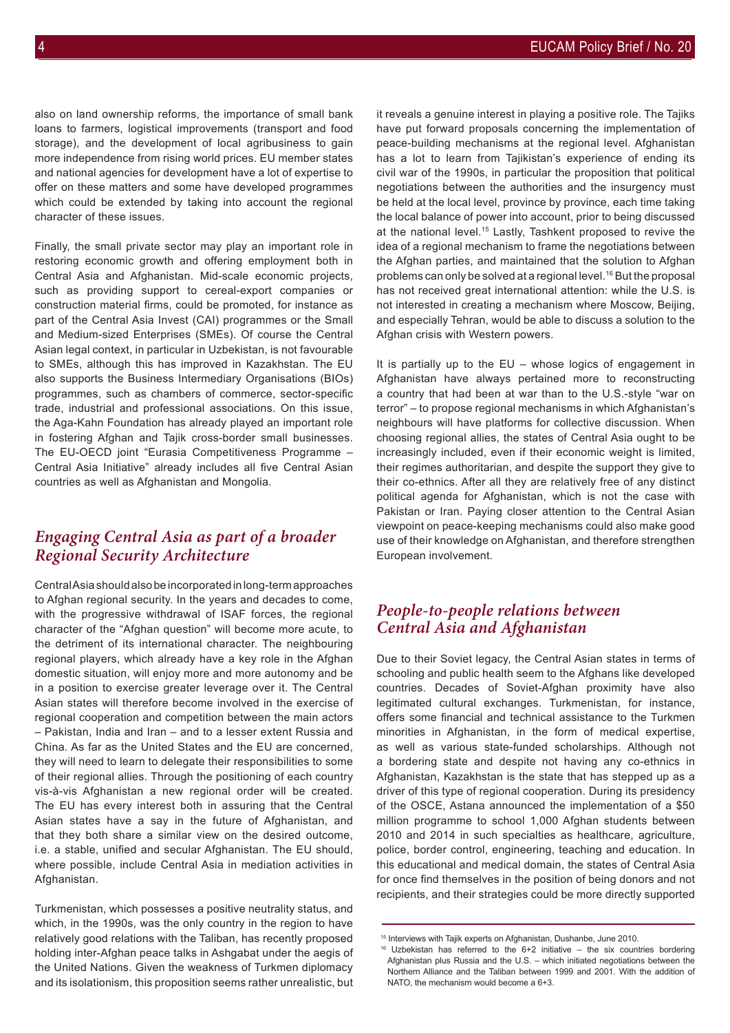also on land ownership reforms, the importance of small bank loans to farmers, logistical improvements (transport and food storage), and the development of local agribusiness to gain more independence from rising world prices. EU member states and national agencies for development have a lot of expertise to offer on these matters and some have developed programmes which could be extended by taking into account the regional character of these issues.

Finally, the small private sector may play an important role in restoring economic growth and offering employment both in Central Asia and Afghanistan. Mid-scale economic projects, such as providing support to cereal-export companies or construction material firms, could be promoted, for instance as part of the Central Asia Invest (CAI) programmes or the Small and Medium-sized Enterprises (SMEs). Of course the Central Asian legal context, in particular in Uzbekistan, is not favourable to SMEs, although this has improved in Kazakhstan. The EU also supports the Business Intermediary Organisations (BIOs) programmes, such as chambers of commerce, sector-specific trade, industrial and professional associations. On this issue, the Aga-Kahn Foundation has already played an important role in fostering Afghan and Tajik cross-border small businesses. The EU-OECD joint "Eurasia Competitiveness Programme – Central Asia Initiative" already includes all five Central Asian countries as well as Afghanistan and Mongolia.

# *Engaging Central Asia as part of a broader Regional Security Architecture*

Central Asia should also be incorporated in long-term approaches to Afghan regional security. In the years and decades to come, with the progressive withdrawal of ISAF forces, the regional character of the "Afghan question" will become more acute, to the detriment of its international character. The neighbouring regional players, which already have a key role in the Afghan domestic situation, will enjoy more and more autonomy and be in a position to exercise greater leverage over it. The Central Asian states will therefore become involved in the exercise of regional cooperation and competition between the main actors – Pakistan, India and Iran – and to a lesser extent Russia and China. As far as the United States and the EU are concerned, they will need to learn to delegate their responsibilities to some of their regional allies. Through the positioning of each country vis-à-vis Afghanistan a new regional order will be created. The EU has every interest both in assuring that the Central Asian states have a say in the future of Afghanistan, and that they both share a similar view on the desired outcome, i.e. a stable, unified and secular Afghanistan. The EU should, where possible, include Central Asia in mediation activities in Afghanistan.

Turkmenistan, which possesses a positive neutrality status, and which, in the 1990s, was the only country in the region to have relatively good relations with the Taliban, has recently proposed holding inter-Afghan peace talks in Ashgabat under the aegis of the United Nations. Given the weakness of Turkmen diplomacy and its isolationism, this proposition seems rather unrealistic, but it reveals a genuine interest in playing a positive role. The Tajiks have put forward proposals concerning the implementation of peace-building mechanisms at the regional level. Afghanistan has a lot to learn from Tajikistan's experience of ending its civil war of the 1990s, in particular the proposition that political negotiations between the authorities and the insurgency must be held at the local level, province by province, each time taking the local balance of power into account, prior to being discussed at the national level.<sup>15</sup> Lastly, Tashkent proposed to revive the idea of a regional mechanism to frame the negotiations between the Afghan parties, and maintained that the solution to Afghan problems can only be solved at a regional level.<sup>16</sup> But the proposal has not received great international attention: while the U.S. is not interested in creating a mechanism where Moscow, Beijing, and especially Tehran, would be able to discuss a solution to the Afghan crisis with Western powers.

It is partially up to the EU – whose logics of engagement in Afghanistan have always pertained more to reconstructing a country that had been at war than to the U.S.-style "war on terror" – to propose regional mechanisms in which Afghanistan's neighbours will have platforms for collective discussion. When choosing regional allies, the states of Central Asia ought to be increasingly included, even if their economic weight is limited, their regimes authoritarian, and despite the support they give to their co-ethnics. After all they are relatively free of any distinct political agenda for Afghanistan, which is not the case with Pakistan or Iran. Paying closer attention to the Central Asian viewpoint on peace-keeping mechanisms could also make good use of their knowledge on Afghanistan, and therefore strengthen European involvement.

## *People-to-people relations between Central Asia and Afghanistan*

Due to their Soviet legacy, the Central Asian states in terms of schooling and public health seem to the Afghans like developed countries. Decades of Soviet-Afghan proximity have also legitimated cultural exchanges. Turkmenistan, for instance, offers some financial and technical assistance to the Turkmen minorities in Afghanistan, in the form of medical expertise, as well as various state-funded scholarships. Although not a bordering state and despite not having any co-ethnics in Afghanistan, Kazakhstan is the state that has stepped up as a driver of this type of regional cooperation. During its presidency of the OSCE, Astana announced the implementation of a \$50 million programme to school 1,000 Afghan students between 2010 and 2014 in such specialties as healthcare, agriculture, police, border control, engineering, teaching and education. In this educational and medical domain, the states of Central Asia for once find themselves in the position of being donors and not recipients, and their strategies could be more directly supported

<sup>&</sup>lt;sup>15</sup> Interviews with Tajik experts on Afghanistan, Dushanbe, June 2010.

 $16$  Uzbekistan has referred to the 6+2 initiative – the six countries bordering Afghanistan plus Russia and the U.S. – which initiated negotiations between the Northern Alliance and the Taliban between 1999 and 2001. With the addition of NATO, the mechanism would become a 6+3.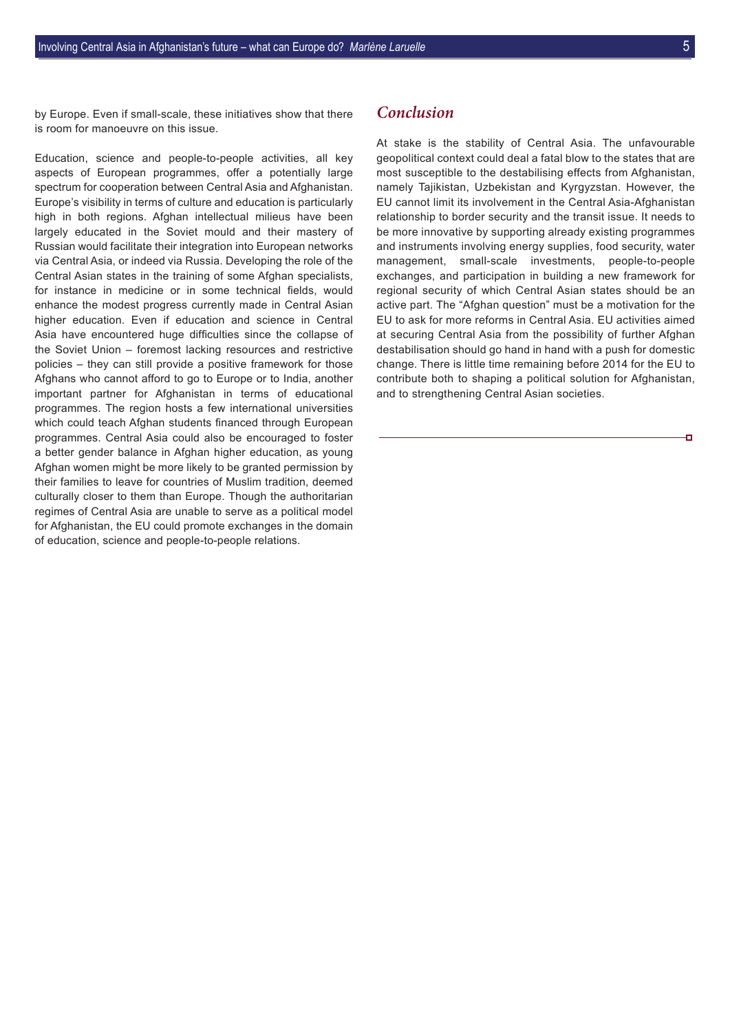by Europe. Even if small-scale, these initiatives show that there is room for manoeuvre on this issue.

Education, science and people-to-people activities, all key aspects of European programmes, offer a potentially large spectrum for cooperation between Central Asia and Afghanistan. Europe's visibility in terms of culture and education is particularly high in both regions. Afghan intellectual milieus have been largely educated in the Soviet mould and their mastery of Russian would facilitate their integration into European networks via Central Asia, or indeed via Russia. Developing the role of the Central Asian states in the training of some Afghan specialists, for instance in medicine or in some technical fields, would enhance the modest progress currently made in Central Asian higher education. Even if education and science in Central Asia have encountered huge difficulties since the collapse of the Soviet Union – foremost lacking resources and restrictive policies – they can still provide a positive framework for those Afghans who cannot afford to go to Europe or to India, another important partner for Afghanistan in terms of educational programmes. The region hosts a few international universities which could teach Afghan students financed through European programmes. Central Asia could also be encouraged to foster a better gender balance in Afghan higher education, as young Afghan women might be more likely to be granted permission by their families to leave for countries of Muslim tradition, deemed culturally closer to them than Europe. Though the authoritarian regimes of Central Asia are unable to serve as a political model for Afghanistan, the EU could promote exchanges in the domain of education, science and people-to-people relations.

#### *Conclusion*

At stake is the stability of Central Asia. The unfavourable geopolitical context could deal a fatal blow to the states that are most susceptible to the destabilising effects from Afghanistan, namely Tajikistan, Uzbekistan and Kyrgyzstan. However, the EU cannot limit its involvement in the Central Asia-Afghanistan relationship to border security and the transit issue. It needs to be more innovative by supporting already existing programmes and instruments involving energy supplies, food security, water management, small-scale investments, people-to-people exchanges, and participation in building a new framework for regional security of which Central Asian states should be an active part. The "Afghan question" must be a motivation for the EU to ask for more reforms in Central Asia. EU activities aimed at securing Central Asia from the possibility of further Afghan destabilisation should go hand in hand with a push for domestic change. There is little time remaining before 2014 for the EU to contribute both to shaping a political solution for Afghanistan, and to strengthening Central Asian societies.